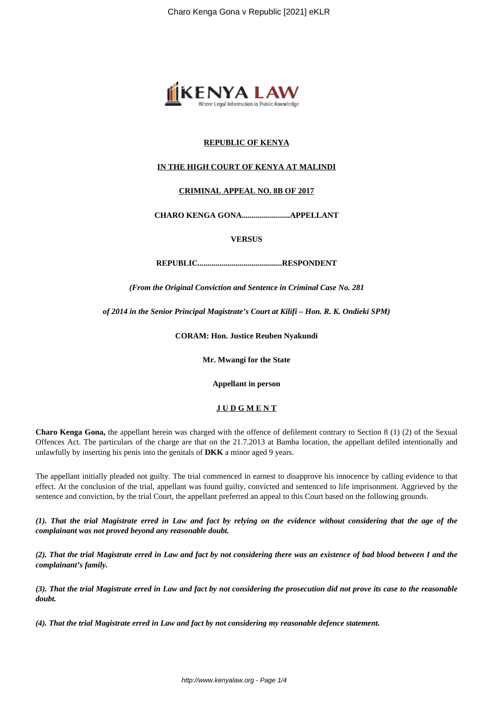

# **REPUBLIC OF KENYA**

# **IN THE HIGH COURT OF KENYA AT MALINDI**

# **CRIMINAL APPEAL NO. 8B OF 2017**

**CHARO KENGA GONA........................APPELLANT**

**VERSUS**

**REPUBLIC..........................................RESPONDENT**

*(From the Original Conviction and Sentence in Criminal Case No. 281*

*of 2014 in the Senior Principal Magistrate's Court at Kilifi – Hon. R. K. Ondieki SPM)*

**CORAM: Hon. Justice Reuben Nyakundi**

**Mr. Mwangi for the State**

**Appellant in person**

# **J U D G M E N T**

**Charo Kenga Gona,** the appellant herein was charged with the offence of defilement contrary to Section 8 (1) (2) of the Sexual Offences Act. The particulars of the charge are that on the 21.7.2013 at Bamba location, the appellant defiled intentionally and unlawfully by inserting his penis into the genitals of **DKK** a minor aged 9 years.

The appellant initially pleaded not guilty. The trial commenced in earnest to disapprove his innocence by calling evidence to that effect. At the conclusion of the trial, appellant was found guilty, convicted and sentenced to life imprisonment. Aggrieved by the sentence and conviction, by the trial Court, the appellant preferred an appeal to this Court based on the following grounds.

*(1). That the trial Magistrate erred in Law and fact by relying on the evidence without considering that the age of the complainant was not proved beyond any reasonable doubt.*

*(2). That the trial Magistrate erred in Law and fact by not considering there was an existence of bad blood between I and the complainant's family.*

*(3). That the trial Magistrate erred in Law and fact by not considering the prosecution did not prove its case to the reasonable doubt.* 

*(4). That the trial Magistrate erred in Law and fact by not considering my reasonable defence statement.*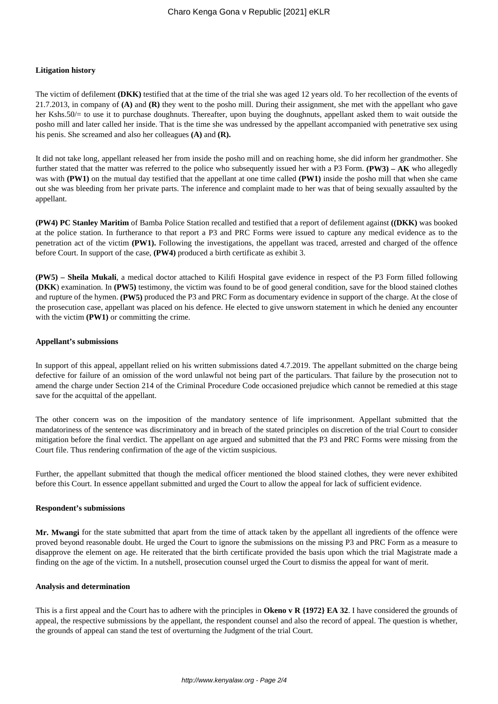### **Litigation history**

The victim of defilement **(DKK)** testified that at the time of the trial she was aged 12 years old. To her recollection of the events of 21.7.2013, in company of **(A)** and **(R)** they went to the posho mill. During their assignment, she met with the appellant who gave her Kshs.50/= to use it to purchase doughnuts. Thereafter, upon buying the doughnuts, appellant asked them to wait outside the posho mill and later called her inside. That is the time she was undressed by the appellant accompanied with penetrative sex using his penis. She screamed and also her colleagues **(A)** and **(R).**

It did not take long, appellant released her from inside the posho mill and on reaching home, she did inform her grandmother. She further stated that the matter was referred to the police who subsequently issued her with a P3 Form. **(PW3) – AK** who allegedly was with **(PW1)** on the mutual day testified that the appellant at one time called **(PW1)** inside the posho mill that when she came out she was bleeding from her private parts. The inference and complaint made to her was that of being sexually assaulted by the appellant.

**(PW4) PC Stanley Maritim** of Bamba Police Station recalled and testified that a report of defilement against **((DKK)** was booked at the police station. In furtherance to that report a P3 and PRC Forms were issued to capture any medical evidence as to the penetration act of the victim **(PW1).** Following the investigations, the appellant was traced, arrested and charged of the offence before Court. In support of the case, **(PW4)** produced a birth certificate as exhibit 3.

**(PW5) – Sheila Mukali**, a medical doctor attached to Kilifi Hospital gave evidence in respect of the P3 Form filled following **(DKK**) examination. In **(PW5)** testimony, the victim was found to be of good general condition, save for the blood stained clothes and rupture of the hymen. **(PW5)** produced the P3 and PRC Form as documentary evidence in support of the charge. At the close of the prosecution case, appellant was placed on his defence. He elected to give unsworn statement in which he denied any encounter with the victim **(PW1)** or committing the crime.

### **Appellant's submissions**

In support of this appeal, appellant relied on his written submissions dated 4.7.2019. The appellant submitted on the charge being defective for failure of an omission of the word unlawful not being part of the particulars. That failure by the prosecution not to amend the charge under Section 214 of the Criminal Procedure Code occasioned prejudice which cannot be remedied at this stage save for the acquittal of the appellant.

The other concern was on the imposition of the mandatory sentence of life imprisonment. Appellant submitted that the mandatoriness of the sentence was discriminatory and in breach of the stated principles on discretion of the trial Court to consider mitigation before the final verdict. The appellant on age argued and submitted that the P3 and PRC Forms were missing from the Court file. Thus rendering confirmation of the age of the victim suspicious.

Further, the appellant submitted that though the medical officer mentioned the blood stained clothes, they were never exhibited before this Court. In essence appellant submitted and urged the Court to allow the appeal for lack of sufficient evidence.

#### **Respondent's submissions**

**Mr. Mwangi** for the state submitted that apart from the time of attack taken by the appellant all ingredients of the offence were proved beyond reasonable doubt. He urged the Court to ignore the submissions on the missing P3 and PRC Form as a measure to disapprove the element on age. He reiterated that the birth certificate provided the basis upon which the trial Magistrate made a finding on the age of the victim. In a nutshell, prosecution counsel urged the Court to dismiss the appeal for want of merit.

#### **Analysis and determination**

This is a first appeal and the Court has to adhere with the principles in **Okeno v R {1972} EA 32**. I have considered the grounds of appeal, the respective submissions by the appellant, the respondent counsel and also the record of appeal. The question is whether, the grounds of appeal can stand the test of overturning the Judgment of the trial Court.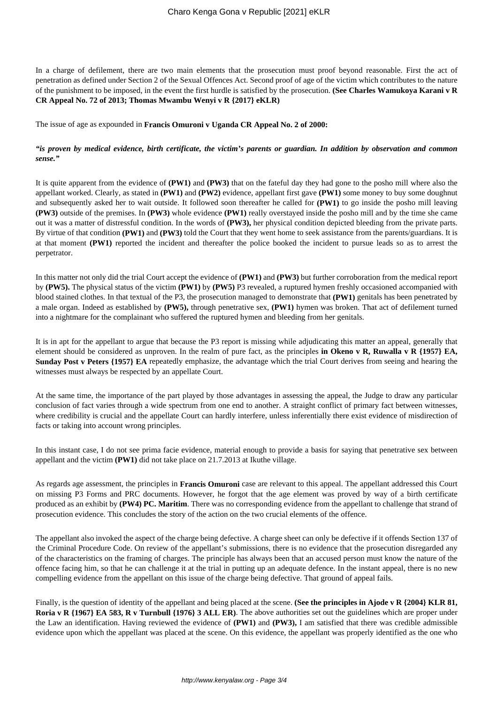In a charge of defilement, there are two main elements that the prosecution must proof beyond reasonable. First the act of penetration as defined under Section 2 of the Sexual Offences Act. Second proof of age of the victim which contributes to the nature of the punishment to be imposed, in the event the first hurdle is satisfied by the prosecution. **(See Charles Wamukoya Karani v R CR Appeal No. 72 of 2013; Thomas Mwambu Wenyi v R {2017} eKLR)**

The issue of age as expounded in **Francis Omuroni v Uganda CR Appeal No. 2 of 2000:**

# *"is proven by medical evidence, birth certificate, the victim's parents or guardian. In addition by observation and common sense."*

It is quite apparent from the evidence of **(PW1)** and **(PW3)** that on the fateful day they had gone to the posho mill where also the appellant worked. Clearly, as stated in **(PW1)** and **(PW2)** evidence, appellant first gave **(PW1)** some money to buy some doughnut and subsequently asked her to wait outside. It followed soon thereafter he called for **(PW1)** to go inside the posho mill leaving **(PW3)** outside of the premises. In **(PW3)** whole evidence **(PW1)** really overstayed inside the posho mill and by the time she came out it was a matter of distressful condition. In the words of **(PW3),** her physical condition depicted bleeding from the private parts. By virtue of that condition **(PW1)** and **(PW3)** told the Court that they went home to seek assistance from the parents/guardians. It is at that moment **(PW1)** reported the incident and thereafter the police booked the incident to pursue leads so as to arrest the perpetrator.

In this matter not only did the trial Court accept the evidence of **(PW1)** and **(PW3)** but further corroboration from the medical report by **(PW5).** The physical status of the victim **(PW1)** by **(PW5)** P3 revealed, a ruptured hymen freshly occasioned accompanied with blood stained clothes. In that textual of the P3, the prosecution managed to demonstrate that **(PW1)** genitals has been penetrated by a male organ. Indeed as established by **(PW5),** through penetrative sex, **(PW1)** hymen was broken. That act of defilement turned into a nightmare for the complainant who suffered the ruptured hymen and bleeding from her genitals.

It is in apt for the appellant to argue that because the P3 report is missing while adjudicating this matter an appeal, generally that element should be considered as unproven. In the realm of pure fact, as the principles **in Okeno v R, Ruwalla v R {1957} EA, Sunday Post v Peters {1957} EA** repeatedly emphasize, the advantage which the trial Court derives from seeing and hearing the witnesses must always be respected by an appellate Court.

At the same time, the importance of the part played by those advantages in assessing the appeal, the Judge to draw any particular conclusion of fact varies through a wide spectrum from one end to another. A straight conflict of primary fact between witnesses, where credibility is crucial and the appellate Court can hardly interfere, unless inferentially there exist evidence of misdirection of facts or taking into account wrong principles.

In this instant case, I do not see prima facie evidence, material enough to provide a basis for saying that penetrative sex between appellant and the victim **(PW1)** did not take place on 21.7.2013 at Ikuthe village.

As regards age assessment, the principles in **Francis Omuroni** case are relevant to this appeal. The appellant addressed this Court on missing P3 Forms and PRC documents. However, he forgot that the age element was proved by way of a birth certificate produced as an exhibit by **(PW4) PC. Maritim**. There was no corresponding evidence from the appellant to challenge that strand of prosecution evidence. This concludes the story of the action on the two crucial elements of the offence.

The appellant also invoked the aspect of the charge being defective. A charge sheet can only be defective if it offends Section 137 of the Criminal Procedure Code. On review of the appellant's submissions, there is no evidence that the prosecution disregarded any of the characteristics on the framing of charges. The principle has always been that an accused person must know the nature of the offence facing him, so that he can challenge it at the trial in putting up an adequate defence. In the instant appeal, there is no new compelling evidence from the appellant on this issue of the charge being defective. That ground of appeal fails.

Finally, is the question of identity of the appellant and being placed at the scene. **(See the principles in Ajode v R {2004} KLR 81, Roria v R {1967} EA 583, R v Turnbull {1976} 3 ALL ER)**. The above authorities set out the guidelines which are proper under the Law an identification. Having reviewed the evidence of **(PW1)** and **(PW3),** I am satisfied that there was credible admissible evidence upon which the appellant was placed at the scene. On this evidence, the appellant was properly identified as the one who